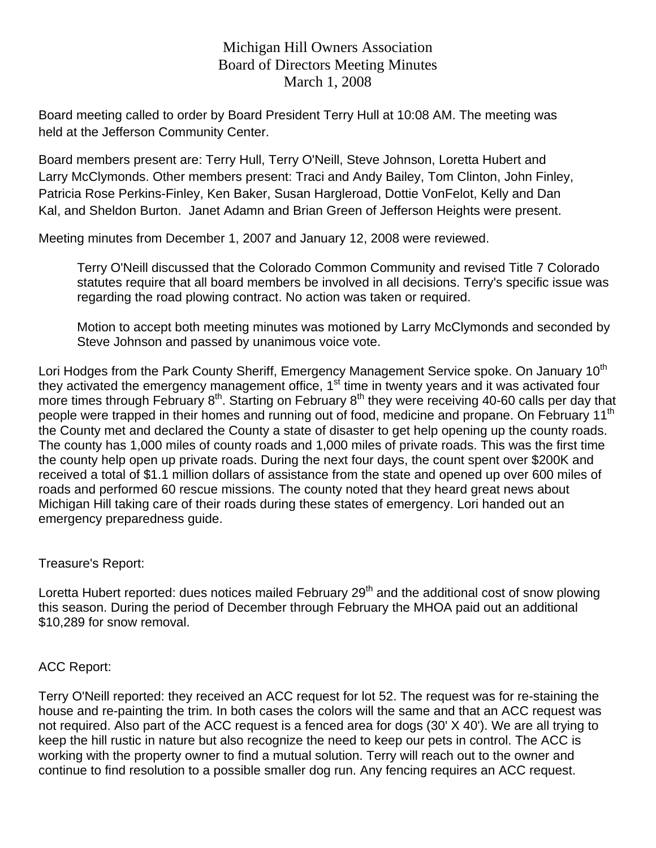# Michigan Hill Owners Association Board of Directors Meeting Minutes March 1, 2008

Board meeting called to order by Board President Terry Hull at 10:08 AM. The meeting was held at the Jefferson Community Center.

Board members present are: Terry Hull, Terry O'Neill, Steve Johnson, Loretta Hubert and Larry McClymonds. Other members present: Traci and Andy Bailey, Tom Clinton, John Finley, Patricia Rose Perkins-Finley, Ken Baker, Susan Hargleroad, Dottie VonFelot, Kelly and Dan Kal, and Sheldon Burton. Janet Adamn and Brian Green of Jefferson Heights were present.

Meeting minutes from December 1, 2007 and January 12, 2008 were reviewed.

Terry O'Neill discussed that the Colorado Common Community and revised Title 7 Colorado statutes require that all board members be involved in all decisions. Terry's specific issue was regarding the road plowing contract. No action was taken or required.

Motion to accept both meeting minutes was motioned by Larry McClymonds and seconded by Steve Johnson and passed by unanimous voice vote.

Lori Hodges from the Park County Sheriff, Emergency Management Service spoke. On January 10<sup>th</sup> they activated the emergency management office, 1<sup>st</sup> time in twenty years and it was activated four more times through February  $8<sup>th</sup>$ . Starting on February  $8<sup>th</sup>$  they were receiving 40-60 calls per day that people were trapped in their homes and running out of food, medicine and propane. On February 11<sup>th</sup> the County met and declared the County a state of disaster to get help opening up the county roads. The county has 1,000 miles of county roads and 1,000 miles of private roads. This was the first time the county help open up private roads. During the next four days, the count spent over \$200K and received a total of \$1.1 million dollars of assistance from the state and opened up over 600 miles of roads and performed 60 rescue missions. The county noted that they heard great news about Michigan Hill taking care of their roads during these states of emergency. Lori handed out an emergency preparedness guide.

#### Treasure's Report:

Loretta Hubert reported: dues notices mailed February 29<sup>th</sup> and the additional cost of snow plowing this season. During the period of December through February the MHOA paid out an additional \$10,289 for snow removal.

## ACC Report:

Terry O'Neill reported: they received an ACC request for lot 52. The request was for re-staining the house and re-painting the trim. In both cases the colors will the same and that an ACC request was not required. Also part of the ACC request is a fenced area for dogs (30' X 40'). We are all trying to keep the hill rustic in nature but also recognize the need to keep our pets in control. The ACC is working with the property owner to find a mutual solution. Terry will reach out to the owner and continue to find resolution to a possible smaller dog run. Any fencing requires an ACC request.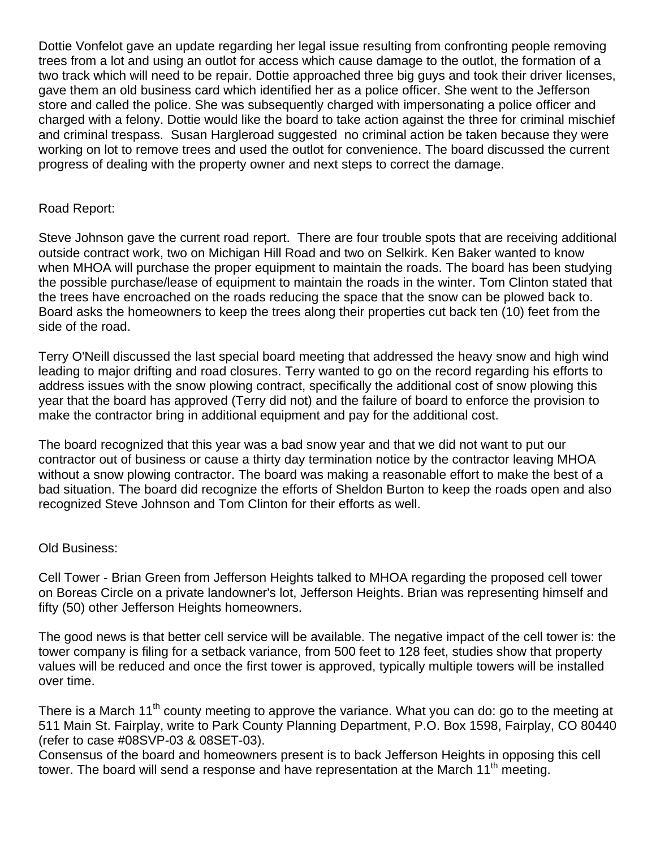Dottie Vonfelot gave an update regarding her legal issue resulting from confronting people removing trees from a lot and using an outlot for access which cause damage to the outlot, the formation of a two track which will need to be repair. Dottie approached three big guys and took their driver licenses, gave them an old business card which identified her as a police officer. She went to the Jefferson store and called the police. She was subsequently charged with impersonating a police officer and charged with a felony. Dottie would like the board to take action against the three for criminal mischief and criminal trespass. Susan Hargleroad suggested no criminal action be taken because they were working on lot to remove trees and used the outlot for convenience. The board discussed the current progress of dealing with the property owner and next steps to correct the damage.

#### Road Report:

Steve Johnson gave the current road report. There are four trouble spots that are receiving additional outside contract work, two on Michigan Hill Road and two on Selkirk. Ken Baker wanted to know when MHOA will purchase the proper equipment to maintain the roads. The board has been studying the possible purchase/lease of equipment to maintain the roads in the winter. Tom Clinton stated that the trees have encroached on the roads reducing the space that the snow can be plowed back to. Board asks the homeowners to keep the trees along their properties cut back ten (10) feet from the side of the road.

Terry O'Neill discussed the last special board meeting that addressed the heavy snow and high wind leading to major drifting and road closures. Terry wanted to go on the record regarding his efforts to address issues with the snow plowing contract, specifically the additional cost of snow plowing this year that the board has approved (Terry did not) and the failure of board to enforce the provision to make the contractor bring in additional equipment and pay for the additional cost.

The board recognized that this year was a bad snow year and that we did not want to put our contractor out of business or cause a thirty day termination notice by the contractor leaving MHOA without a snow plowing contractor. The board was making a reasonable effort to make the best of a bad situation. The board did recognize the efforts of Sheldon Burton to keep the roads open and also recognized Steve Johnson and Tom Clinton for their efforts as well.

## Old Business:

Cell Tower - Brian Green from Jefferson Heights talked to MHOA regarding the proposed cell tower on Boreas Circle on a private landowner's lot, Jefferson Heights. Brian was representing himself and fifty (50) other Jefferson Heights homeowners.

The good news is that better cell service will be available. The negative impact of the cell tower is: the tower company is filing for a setback variance, from 500 feet to 128 feet, studies show that property values will be reduced and once the first tower is approved, typically multiple towers will be installed over time.

There is a March 11<sup>th</sup> county meeting to approve the variance. What you can do: go to the meeting at 511 Main St. Fairplay, write to Park County Planning Department, P.O. Box 1598, Fairplay, CO 80440 (refer to case #08SVP-03 & 08SET-03).

Consensus of the board and homeowners present is to back Jefferson Heights in opposing this cell tower. The board will send a response and have representation at the March  $11<sup>th</sup>$  meeting.